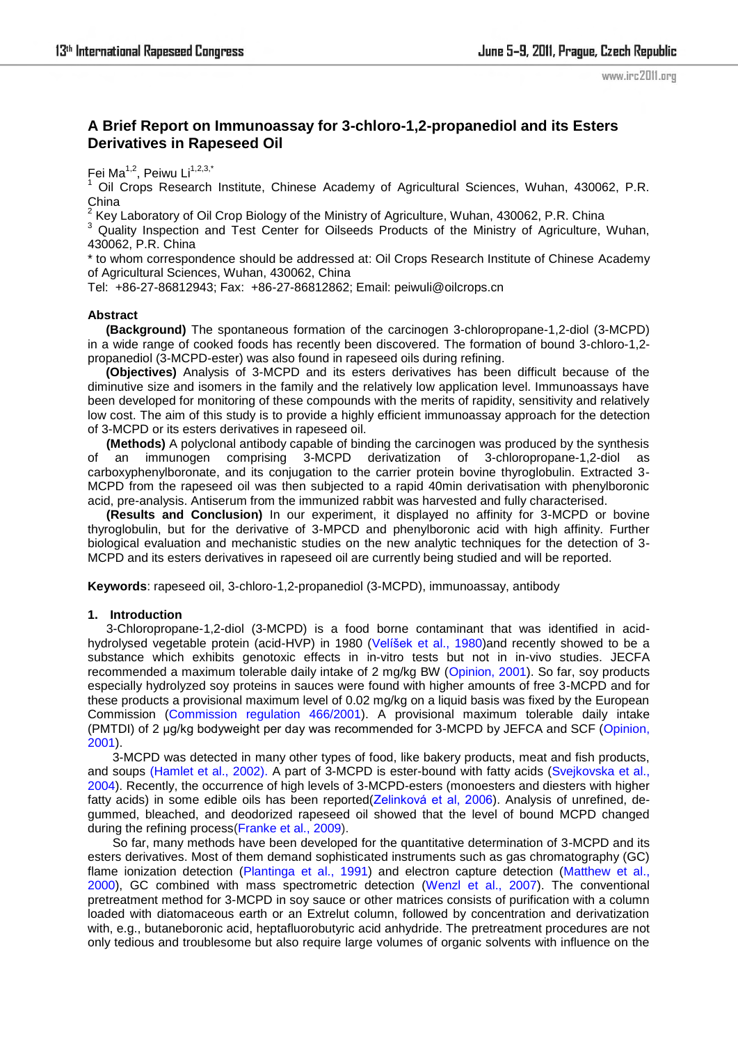www.irc2011.org

# **A Brief Report on Immunoassay for 3-chloro-1,2-propanediol and its Esters Derivatives in Rapeseed Oil**

Fei Ma<sup>1,2</sup>, Peiwu Li<sup>1,2,3,\*</sup>

<sup>1</sup> Oil Crops Research Institute, Chinese Academy of Agricultural Sciences, Wuhan, 430062, P.R. China<br><sup>2</sup> Kev l

Key Laboratory of Oil Crop Biology of the Ministry of Agriculture, Wuhan, 430062, P.R. China

<sup>3</sup> Quality Inspection and Test Center for Oilseeds Products of the Ministry of Agriculture, Wuhan, 430062, P.R. China

\* to whom correspondence should be addressed at: Oil Crops Research Institute of Chinese Academy of Agricultural Sciences, Wuhan, 430062, China

Tel: +86-27-86812943; Fax: +86-27-86812862; Email: peiwuli@oilcrops.cn

#### **Abstract**

**(Background)** The spontaneous formation of the carcinogen 3-chloropropane-1,2-diol (3-MCPD) in a wide range of cooked foods has recently been discovered. The formation of bound 3-chloro-1,2 propanediol (3-MCPD-ester) was also found in rapeseed oils during refining.

**(Objectives)** Analysis of 3-MCPD and its esters derivatives has been difficult because of the diminutive size and isomers in the family and the relatively low application level. Immunoassays have been developed for monitoring of these compounds with the merits of rapidity, sensitivity and relatively low cost. The aim of this study is to provide a highly efficient immunoassay approach for the detection of 3-MCPD or its esters derivatives in rapeseed oil.

**(Methods)** A polyclonal antibody capable of binding the carcinogen was produced by the synthesis of an immunogen comprising 3-MCPD derivatization of 3-chloropropane-1,2-diol as carboxyphenylboronate, and its conjugation to the carrier protein bovine thyroglobulin. Extracted 3-MCPD from the rapeseed oil was then subjected to a rapid 40min derivatisation with phenylboronic acid, pre-analysis. Antiserum from the immunized rabbit was harvested and fully characterised.

**(Results and Conclusion)** In our experiment, it displayed no affinity for 3-MCPD or bovine thyroglobulin, but for the derivative of 3-MPCD and phenylboronic acid with high affinity. Further biological evaluation and mechanistic studies on the new analytic techniques for the detection of 3- MCPD and its esters derivatives in rapeseed oil are currently being studied and will be reported.

**Keywords**: rapeseed oil, 3-chloro-1,2-propanediol (3-MCPD), immunoassay, antibody

#### **1. Introduction**

3-Chloropropane-1,2-diol (3-MCPD) is a food borne contaminant that was identified in acidhydrolysed vegetable protein (acid-HVP) in 1980 (Velíšek et al., 1980)and recently showed to be a substance which exhibits genotoxic effects in in-vitro tests but not in in-vivo studies. JECFA recommended a maximum tolerable daily intake of 2 mg/kg BW (Opinion, 2001). So far, soy products especially hydrolyzed soy proteins in sauces were found with higher amounts of free 3-MCPD and for these products a provisional maximum level of 0.02 mg/kg on a liquid basis was fixed by the European Commission (Commission regulation 466/2001). A provisional maximum tolerable daily intake (PMTDI) of 2 μg/kg bodyweight per day was recommended for 3-MCPD by JEFCA and SCF (Opinion, 2001).

3-MCPD was detected in many other types of food, like bakery products, meat and fish products, and soups (Hamlet et al., 2002). A part of 3-MCPD is ester-bound with fatty acids (Svejkovska et al., 2004). Recently, the occurrence of high levels of 3-MCPD-esters (monoesters and diesters with higher fatty acids) in some edible oils has been reported(Zelinková et al, 2006). Analysis of unrefined, degummed, bleached, and deodorized rapeseed oil showed that the level of bound MCPD changed during the refining process(Franke et al., 2009).

So far, many methods have been developed for the quantitative determination of 3-MCPD and its esters derivatives. Most of them demand sophisticated instruments such as gas chromatography (GC) flame ionization detection (Plantinga et al., 1991) and electron capture detection (Matthew et al., 2000), GC combined with mass spectrometric detection (Wenzl et al., 2007). The conventional pretreatment method for 3-MCPD in soy sauce or other matrices consists of purification with a column loaded with diatomaceous earth or an Extrelut column, followed by concentration and derivatization with, e.g., butaneboronic acid, heptafluorobutyric acid anhydride. The pretreatment procedures are not only tedious and troublesome but also require large volumes of organic solvents with influence on the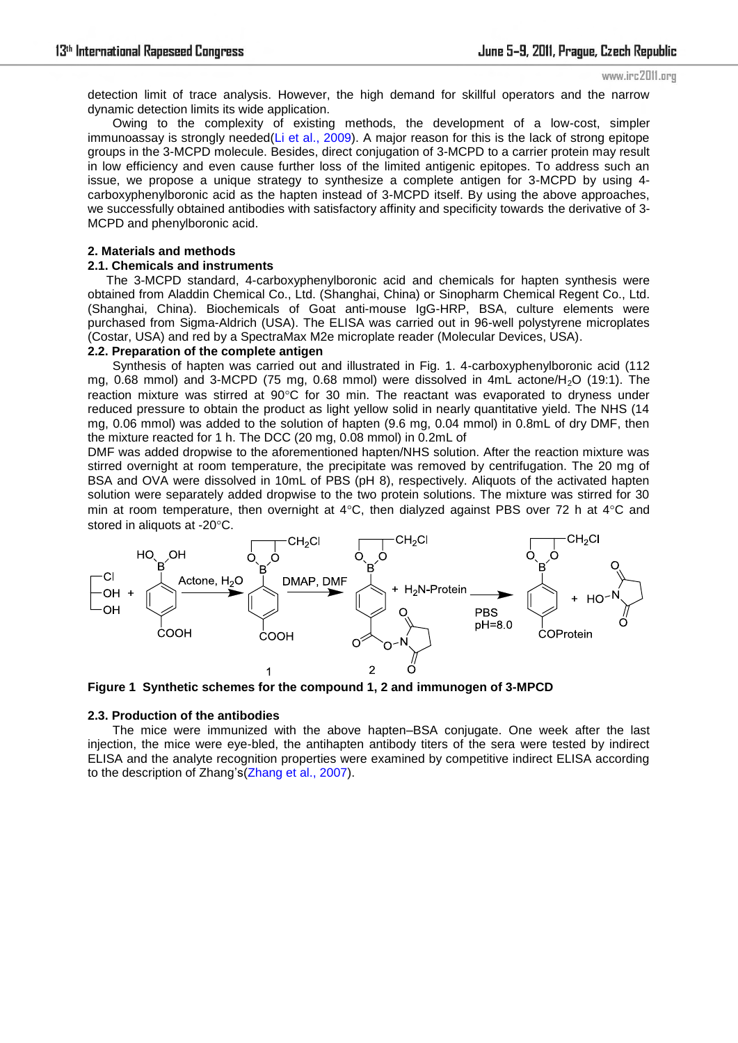detection limit of trace analysis. However, the high demand for skillful operators and the narrow dynamic detection limits its wide application.

Owing to the complexity of existing methods, the development of a low-cost, simpler immunoassay is strongly needed(Li et al., 2009). A major reason for this is the lack of strong epitope groups in the 3-MCPD molecule. Besides, direct conjugation of 3-MCPD to a carrier protein may result in low efficiency and even cause further loss of the limited antigenic epitopes. To address such an issue, we propose a unique strategy to synthesize a complete antigen for 3-MCPD by using 4 carboxyphenylboronic acid as the hapten instead of 3-MCPD itself. By using the above approaches, we successfully obtained antibodies with satisfactory affinity and specificity towards the derivative of 3- MCPD and phenylboronic acid.

#### **2. Materials and methods**

#### **2.1. Chemicals and instruments**

The 3-MCPD standard, 4-carboxyphenylboronic acid and chemicals for hapten synthesis were obtained from Aladdin Chemical Co., Ltd. (Shanghai, China) or Sinopharm Chemical Regent Co., Ltd. (Shanghai, China). Biochemicals of Goat anti-mouse IgG-HRP, BSA, culture elements were purchased from Sigma-Aldrich (USA). The ELISA was carried out in 96-well polystyrene microplates (Costar, USA) and red by a SpectraMax M2e microplate reader (Molecular Devices, USA).

### **2.2. Preparation of the complete antigen**

Synthesis of hapten was carried out and illustrated in Fig. 1. 4-carboxyphenylboronic acid (112 mg, 0.68 mmol) and 3-MCPD (75 mg, 0.68 mmol) were dissolved in  $4mL$  actone/ $H<sub>2</sub>O$  (19:1). The reaction mixture was stirred at 90°C for 30 min. The reactant was evaporated to dryness under reduced pressure to obtain the product as light yellow solid in nearly quantitative yield. The NHS (14 mg, 0.06 mmol) was added to the solution of hapten (9.6 mg, 0.04 mmol) in 0.8mL of dry DMF, then the mixture reacted for 1 h. The DCC (20 mg, 0.08 mmol) in 0.2mL of

DMF was added dropwise to the aforementioned hapten/NHS solution. After the reaction mixture was stirred overnight at room temperature, the precipitate was removed by centrifugation. The 20 mg of BSA and OVA were dissolved in 10mL of PBS (pH 8), respectively. Aliquots of the activated hapten solution were separately added dropwise to the two protein solutions. The mixture was stirred for 30 min at room temperature, then overnight at  $4^{\circ}$ C, then dialyzed against PBS over 72 h at  $4^{\circ}$ C and stored in aliquots at -20°C.



**Figure 1 Synthetic schemes for the compound 1, 2 and immunogen of 3-MPCD** 

#### **2.3. Production of the antibodies**

The mice were immunized with the above hapten–BSA conjugate. One week after the last injection, the mice were eye-bled, the antihapten antibody titers of the sera were tested by indirect ELISA and the analyte recognition properties were examined by competitive indirect ELISA according to the description of Zhang's(Zhang et al., 2007).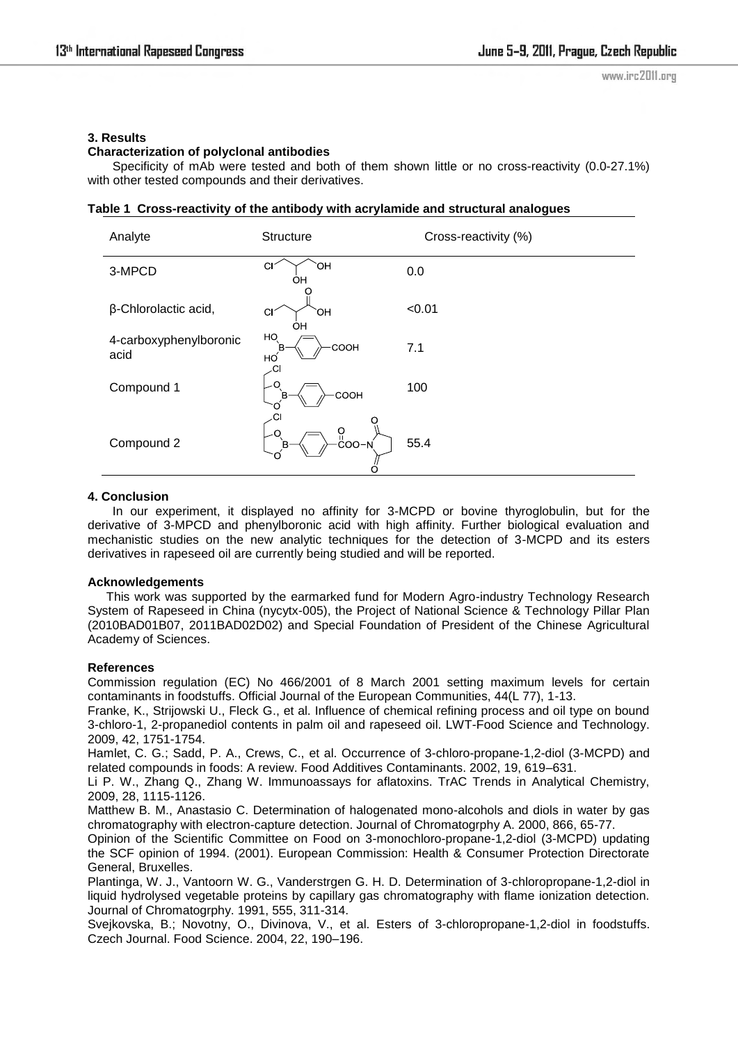### **3. Results**

## **Characterization of polyclonal antibodies**

Specificity of mAb were tested and both of them shown little or no cross-reactivity (0.0-27.1%) with other tested compounds and their derivatives.

### **Table 1 Cross-reactivity of the antibody with acrylamide and structural analogues**

| Analyte                        | Structure                                                                                                     | Cross-reactivity (%) |
|--------------------------------|---------------------------------------------------------------------------------------------------------------|----------------------|
| 3-MPCD                         | $\mathsf{C}$<br>`OH<br>OН                                                                                     | 0.0                  |
| β-Chlorolactic acid,           | CI<br>Юí<br>OH                                                                                                | < 0.01               |
| 4-carboxyphenylboronic<br>acid | HO<br>COOH<br>B<br>но́<br>.CI                                                                                 | 7.1                  |
| Compound 1                     | O<br>COOH<br>в                                                                                                | 100                  |
| Compound 2                     | $\overset{\mathsf{O}}{\mathsf{Co}}\overset{\mathsf{P}}{\mathsf{O}}\overset{\mathsf{P}}{\mathsf{O}}$<br>Ο<br>В | 55.4                 |

### **4. Conclusion**

In our experiment, it displayed no affinity for 3-MCPD or bovine thyroglobulin, but for the derivative of 3-MPCD and phenylboronic acid with high affinity. Further biological evaluation and mechanistic studies on the new analytic techniques for the detection of 3-MCPD and its esters derivatives in rapeseed oil are currently being studied and will be reported.

### **Acknowledgements**

This work was supported by the earmarked fund for Modern Agro-industry Technology Research System of Rapeseed in China (nycytx-005), the Project of National Science & Technology Pillar Plan (2010BAD01B07, 2011BAD02D02) and Special Foundation of President of the Chinese Agricultural Academy of Sciences.

### **References**

Commission regulation (EC) No 466/2001 of 8 March 2001 setting maximum levels for certain contaminants in foodstuffs. Official Journal of the European Communities, 44(L 77), 1-13.

Franke, K., Strijowski U., Fleck G., et al. Influence of chemical refining process and oil type on bound 3-chloro-1, 2-propanediol contents in palm oil and rapeseed oil. LWT-Food Science and Technology. 2009, 42, 1751-1754.

Hamlet, C. G.; Sadd, P. A., Crews, C., et al. Occurrence of 3-chloro-propane-1,2-diol (3-MCPD) and related compounds in foods: A review. Food Additives Contaminants. 2002, 19, 619–631.

Li P. W., Zhang Q., Zhang W. Immunoassays for aflatoxins. TrAC Trends in Analytical Chemistry, 2009, 28, 1115-1126.

Matthew B. M., Anastasio C. Determination of halogenated mono-alcohols and diols in water by gas chromatography with electron-capture detection. Journal of Chromatogrphy A. 2000, 866, 65-77.

Opinion of the Scientific Committee on Food on 3-monochloro-propane-1,2-diol (3-MCPD) updating the SCF opinion of 1994. (2001). European Commission: Health & Consumer Protection Directorate General, Bruxelles.

Plantinga, W. J., Vantoorn W. G., Vanderstrgen G. H. D. Determination of 3-chloropropane-1,2-diol in liquid hydrolysed vegetable proteins by capillary gas chromatography with flame ionization detection. Journal of Chromatogrphy. 1991, 555, 311-314.

Svejkovska, B.; Novotny, O., Divinova, V., et al. Esters of 3-chloropropane-1,2-diol in foodstuffs. Czech Journal. Food Science. 2004, 22, 190–196.